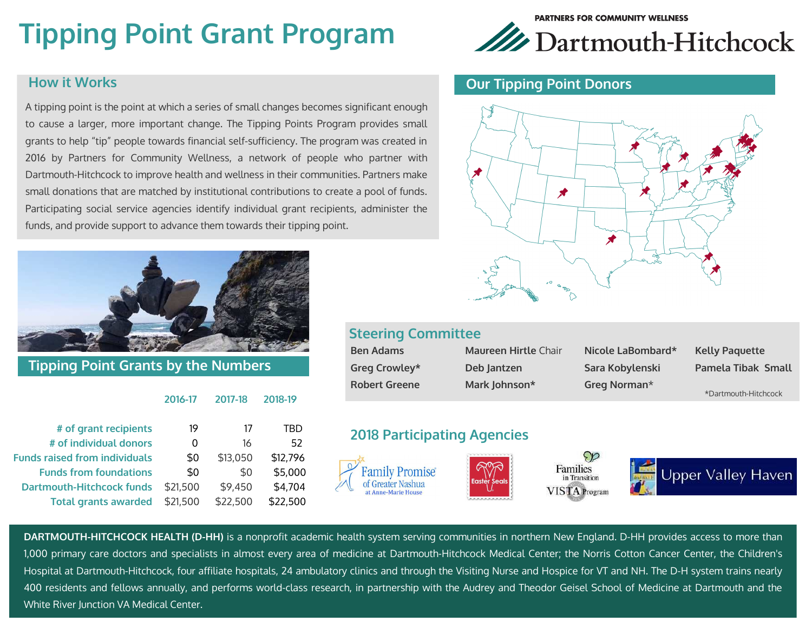# **Tipping Point Grant Program**

#### **How it Works**

A tipping point is the point at which a series of small changes becomes significant enough to cause a larger, more important change. The Tipping Points Program provides small grants to help "tip" people towards financial self-sufficiency. The program was created in 2016 by Partners for Community Wellness, a network of people who partner with Dartmouth-Hitchcock to improve health and wellness in their communities. Partners make small donations that are matched by institutional contributions to create a pool of funds. Participating social service agencies identify individual grant recipients, administer the funds, and provide support to advance them towards their tipping point.



**Tipping Point Grants by the Numbers** 

#### **2016-17 2017-18 2018-19**

| # of grant recipients                | 19       | 17       | TRD      |
|--------------------------------------|----------|----------|----------|
| # of individual donors               | 0        | 16       | 52       |
| <b>Funds raised from individuals</b> | \$0      | \$13,050 | \$12,796 |
| <b>Funds from foundations</b>        | \$0      | \$0      | \$5,000  |
| <b>Dartmouth-Hitchcock funds</b>     | \$21,500 | \$9,450  | \$4,704  |
| <b>Total grants awarded</b>          | \$21,500 | \$22,500 | \$22,500 |



#### **Our Tipping Point Donors**



#### **Steering Committee**

| <b>Ben Adams</b>     | Maureen Hirtle Chair | Nicole LaBombard* | <b>Kelly Paguette</b> |
|----------------------|----------------------|-------------------|-----------------------|
| Greg Crowley*        | Deb Jantzen          | Sara Kobylenski   | Pamela Tibak Small    |
| <b>Robert Greene</b> | Mark Johnson*        | Greg Norman*      | *Dartmouth-Hitchcock  |

#### **2018 Participating Agencies**



**DARTMOUTH-HITCHCOCK HEALTH (D-HH)** is a nonprofit academic health system serving communities in northern New England. D-HH provides access to more than 1,000 primary care doctors and specialists in almost every area of medicine at Dartmouth-Hitchcock Medical Center; the Norris Cotton Cancer Center, the Children's Hospital at Dartmouth-Hitchcock, four affiliate hospitals, 24 ambulatory clinics and through the Visiting Nurse and Hospice for VT and NH. The D-H system trains nearly 400 residents and fellows annually, and performs world-class research, in partnership with the Audrey and Theodor Geisel School of Medicine at Dartmouth and the White River Junction VA Medical Center.